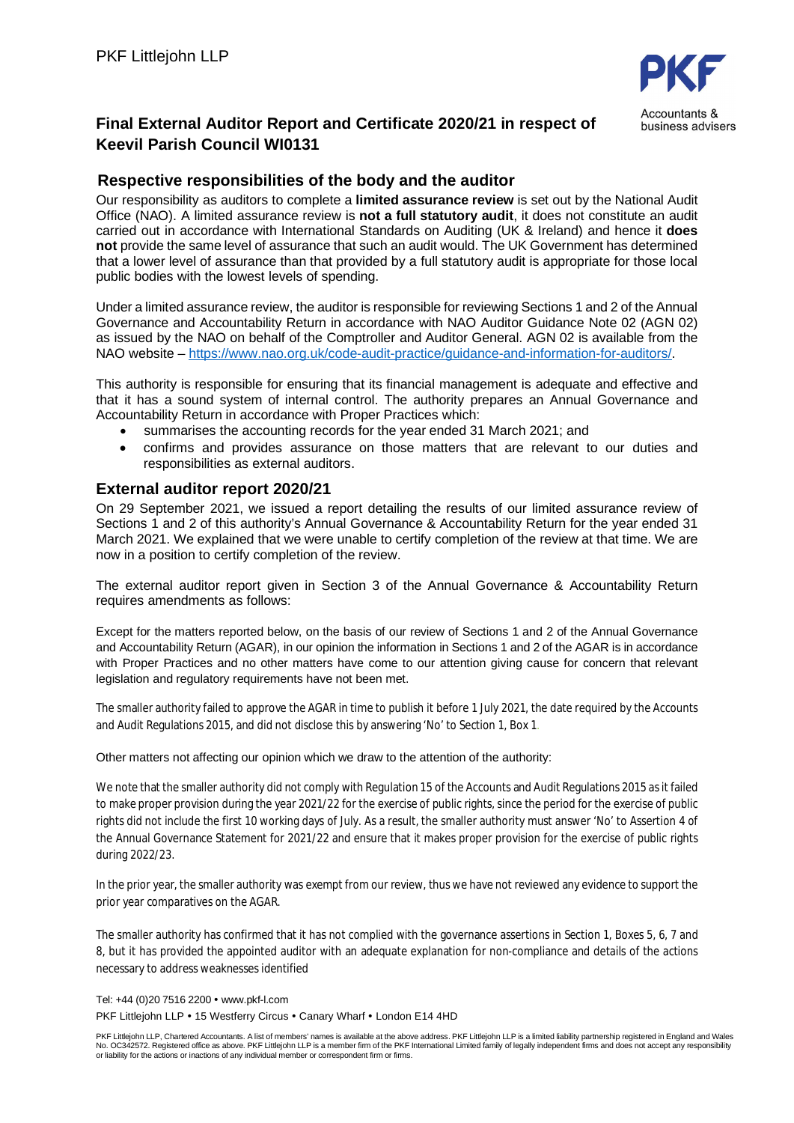

business advisers

# **Final External Auditor Report and Certificate 2020/21 in respect of Keevil Parish Council WI0131**

# **Respective responsibilities of the body and the auditor**

Our responsibility as auditors to complete a **limited assurance review** is set out by the National Audit Office (NAO). A limited assurance review is **not a full statutory audit**, it does not constitute an audit carried out in accordance with International Standards on Auditing (UK & Ireland) and hence it **does not** provide the same level of assurance that such an audit would. The UK Government has determined that a lower level of assurance than that provided by a full statutory audit is appropriate for those local public bodies with the lowest levels of spending.

Under a limited assurance review, the auditor is responsible for reviewing Sections 1 and 2 of the Annual Governance and Accountability Return in accordance with NAO Auditor Guidance Note 02 (AGN 02) as issued by the NAO on behalf of the Comptroller and Auditor General. AGN 02 is available from the NAO website – https://www.nao.org.uk/code-audit-practice/guidance-and-information-for-auditors/.

This authority is responsible for ensuring that its financial management is adequate and effective and that it has a sound system of internal control. The authority prepares an Annual Governance and Accountability Return in accordance with Proper Practices which:

- summarises the accounting records for the year ended 31 March 2021; and
- confirms and provides assurance on those matters that are relevant to our duties and responsibilities as external auditors.

### **External auditor report 2020/21**

On 29 September 2021, we issued a report detailing the results of our limited assurance review of Sections 1 and 2 of this authority's Annual Governance & Accountability Return for the year ended 31 March 2021. We explained that we were unable to certify completion of the review at that time. We are now in a position to certify completion of the review.

The external auditor report given in Section 3 of the Annual Governance & Accountability Return requires amendments as follows:

Except for the matters reported below, on the basis of our review of Sections 1 and 2 of the Annual Governance and Accountability Return (AGAR), in our opinion the information in Sections 1 and 2 of the AGAR is in accordance with Proper Practices and no other matters have come to our attention giving cause for concern that relevant legislation and regulatory requirements have not been met.

The smaller authority failed to approve the AGAR in time to publish it before 1 July 2021, the date required by the Accounts and Audit Regulations 2015, and did not disclose this by answering 'No' to Section 1, Box 1.

#### Other matters not affecting our opinion which we draw to the attention of the authority:

We note that the smaller authority did not comply with Regulation 15 of the Accounts and Audit Regulations 2015 as it failed to make proper provision during the year 2021/22 for the exercise of public rights, since the period for the exercise of public rights did not include the first 10 working days of July. As a result, the smaller authority must answer 'No' to Assertion 4 of the Annual Governance Statement for 2021/22 and ensure that it makes proper provision for the exercise of public rights during 2022/23.

In the prior year, the smaller authority was exempt from our review, thus we have not reviewed any evidence to support the prior year comparatives on the AGAR.

The smaller authority has confirmed that it has not complied with the governance assertions in Section 1, Boxes 5, 6, 7 and 8, but it has provided the appointed auditor with an adequate explanation for non-compliance and details of the actions necessary to address weaknesses identified

Tel: +44 (0)20 7516 2200 • www.pkf-l.com

PKF Littleiohn LLP • 15 Westferry Circus • Canary Wharf • London E14 4HD

PKF Littlejohn LLP, Chartered Accountants. A list of members' names is available at the above address. PKF Littlejohn LLP is a limited liability partnership registered in England and Wales<br>No. OC342572. Registered office a or liability for the actions or inactions of any individual member or correspondent firm or firms.